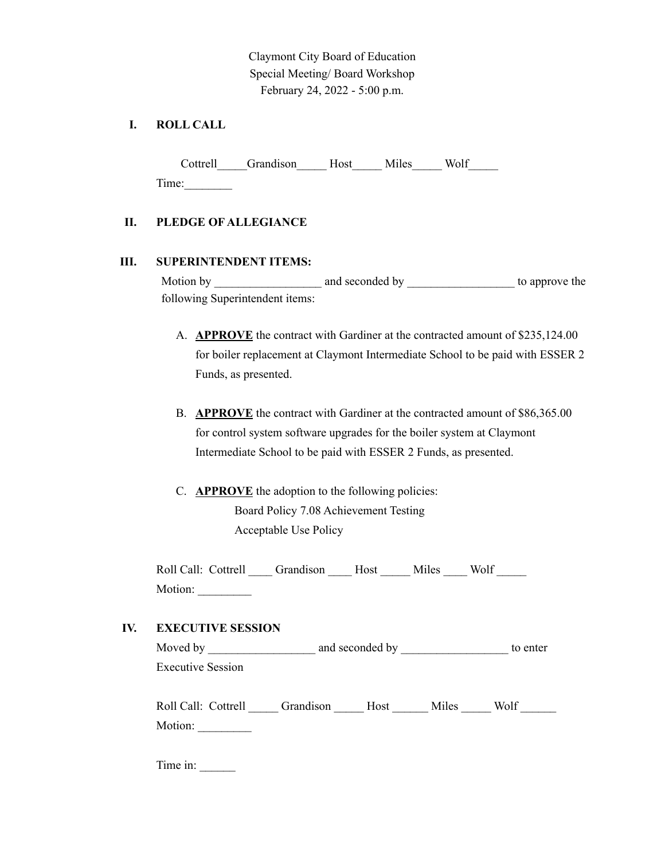Claymont City Board of Education Special Meeting/ Board Workshop February 24, 2022 - 5:00 p.m.

# **I. ROLL CALL**

Cottrell\_\_\_\_\_Grandison\_\_\_\_\_Host\_\_\_\_\_ Miles\_\_\_\_\_ Wolf\_\_\_\_\_ Time:\_\_\_\_\_\_\_\_

## **II. PLEDGE OF ALLEGIANCE**

### **III. SUPERINTENDENT ITEMS:**

Motion by \_\_\_\_\_\_\_\_\_\_\_\_\_\_\_\_\_\_ and seconded by \_\_\_\_\_\_\_\_\_\_\_\_\_\_\_\_\_\_ to approve the following Superintendent items:

- A. **APPROVE** the contract with Gardiner at the contracted amount of \$235,124.00 for boiler replacement at Claymont Intermediate School to be paid with ESSER 2 Funds, as presented.
- B. **APPROVE** the contract with Gardiner at the contracted amount of \$86,365.00 for control system software upgrades for the boiler system at Claymont Intermediate School to be paid with ESSER 2 Funds, as presented.
- C. **APPROVE** the adoption to the following policies: Board Policy 7.08 Achievement Testing Acceptable Use Policy

| Roll Call: Cottrell Grandison Host |  | Miles | Wolf |  |
|------------------------------------|--|-------|------|--|
| Motion:                            |  |       |      |  |

## **IV. EXECUTIVE SESSION**

Moved by \_\_\_\_\_\_\_\_\_\_\_\_\_\_\_\_\_\_ and seconded by \_\_\_\_\_\_\_\_\_\_\_\_\_\_\_\_\_\_ to enter Executive Session

| Roll Call: Cottrell | Grandison Host | Miles | Wolf |
|---------------------|----------------|-------|------|
| Motion:             |                |       |      |

Time in: